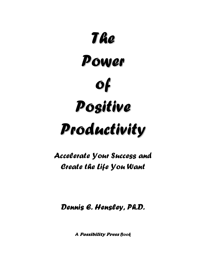

*Accelerate Your Success and Create the Life You Want* 

*Dennis E. Hensley, Ph.D.* 

*A* Possibility Press *Book*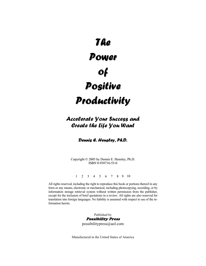# *The Power of Positive Productivity*

### *Accelerate Your Success and Create the Life You Want*

*Dennis E. Hensley, Ph.D.* 

Copyright © 2005 by Dennis E. Hensley, Ph.D. ISBN 0-938716-53-0

1 2 3 4 5 6 7 8 9 10

All rights reserved, including the right to reproduce this book or portions thereof in any form or any means, electronic or mechanical, including photocopying, recording, or by information storage retrieval system without written permission from the publisher, except for the inclusion of brief quotations in a review. All rights are also reserved for translation into foreign languages. No liability is assumed with respect to use of the information herein.

> Published by Possibility Press possibilitypress@aol.com

Manufactured in the United States of America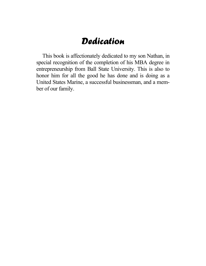### *Dedication*

This book is affectionately dedicated to my son Nathan, in special recognition of the completion of his MBA degree in entrepreneurship from Ball State University. This is also to honor him for all the good he has done and is doing as a United States Marine, a successful businessman, and a member of our family.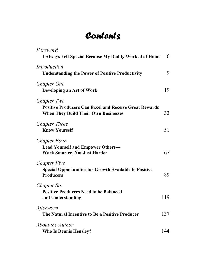### *Contents*

| Foreword                                                                          |     |
|-----------------------------------------------------------------------------------|-----|
| <b>I Always Felt Special Because My Daddy Worked at Home</b>                      | 6   |
| Introduction                                                                      |     |
| <b>Understanding the Power of Positive Productivity</b>                           | 9   |
| Chapter One                                                                       |     |
| Developing an Art of Work                                                         | 19  |
| Chapter Two                                                                       |     |
| <b>Positive Producers Can Excel and Receive Great Rewards</b>                     |     |
| <b>When They Build Their Own Businesses</b>                                       | 33  |
| <b>Chapter Three</b>                                                              |     |
| <b>Know Yourself</b>                                                              | 51  |
| Chapter Four                                                                      |     |
| <b>Lead Yourself and Empower Others—</b>                                          |     |
| <b>Work Smarter, Not Just Harder</b>                                              | 67  |
| <b>Chapter Five</b>                                                               |     |
| <b>Special Opportunities for Growth Available to Positive</b><br><b>Producers</b> | 89  |
| Chapter Six                                                                       |     |
| <b>Positive Producers Need to be Balanced</b>                                     |     |
| and Understanding                                                                 | 119 |
| Afterword                                                                         |     |
| The Natural Incentive to Be a Positive Producer                                   | 137 |
| <b>About the Author</b>                                                           |     |
| <b>Who Is Dennis Hensley?</b>                                                     | 144 |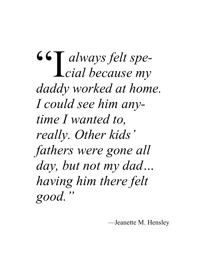*always felt special because my daddy worked at home. I could see him anytime I wanted to, really. Other kids' fathers were gone all day, but not my dad… having him there felt good."* 

—Jeanette M. Hensley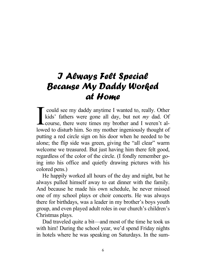## *I Always Felt Special Because My Daddy Worked at Home*

could see my daddy anytime I wanted to, really. Other kids' fathers were gone all day, but not *my* dad. Of course, there were times my brother and I weren't allowed to disturb him. So my mother ingeniously thought of putting a red circle sign on his door when he needed to be alone; the flip side was green, giving the "all clear" warm welcome we treasured. But just having him there felt good, regardless of the color of the circle. (I fondly remember going into his office and quietly drawing pictures with his colored pens.)  $\begin{bmatrix} \begin{array}{c} \cos \theta \\ \cos \theta \end{array} \\ \begin{array}{c} \cos \theta \\ \cos \theta \end{array} \end{bmatrix}$ 

He happily worked all hours of the day and night, but he always pulled himself away to eat dinner with the family. And because he made his own schedule, he never missed one of my school plays or choir concerts. He was always there for birthdays, was a leader in my brother's boys youth group, and even played adult roles in our church's children's Christmas plays.

Dad traveled quite a bit—and most of the time he took us with him! During the school year, we'd spend Friday nights in hotels where he was speaking on Saturdays. In the sum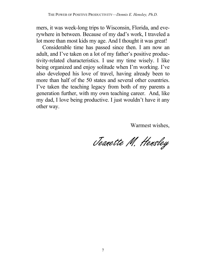mers, it was week-long trips to Wisconsin, Florida, and everywhere in between. Because of my dad's work, I traveled a lot more than most kids my age. And I thought it was great!

Considerable time has passed since then. I am now an adult, and I've taken on a lot of my father's positive productivity-related characteristics. I use my time wisely. I like being organized and enjoy solitude when I'm working. I've also developed his love of travel, having already been to more than half of the 50 states and several other countries. I've taken the teaching legacy from both of my parents a generation further, with my own teaching career. And, like my dad, I love being productive. I just wouldn't have it any other way.

Warmest wishes,

Jeanette M. Hensley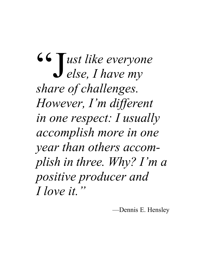*ust like everyone else, I have my share of challenges. However, I'm different in one respect: I usually accomplish more in one year than others accomplish in three. Why? I'm a positive producer and I love it."*   $\int\limits_{c}^{c}$ 

—Dennis E. Hensley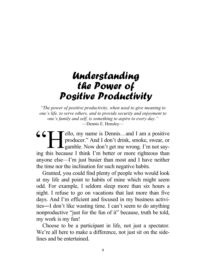## *Understanding the Power of Positive Productivity*

*"The power of positive productivity, when used to give meaning to one's life, to serve others, and to provide security and enjoyment to one's family and self, is something to aspire to every day."*  —Dennis E. Hensley—

ello, my name is Dennis…and I am a positive producer." And I don't drink, smoke, swear, or gamble. Now don't get me wrong. I'm not saying this because I think I'm better or more righteous than anyone else—I'm just busier than most and I have neither the time nor the inclination for such negative habits. 66 Helle

Granted, you could find plenty of people who would look at my life and point to habits of mine which might seem odd. For example, I seldom sleep more than six hours a night. I refuse to go on vacations that last more than five days. And I'm efficient and focused in my business activities―I don't like wasting time. I can't seem to do anything nonproductive "just for the fun of it" because, truth be told, my work is my fun!

Choose to be a participant in life, not just a spectator. We're all here to make a difference, not just sit on the sidelines and be entertained.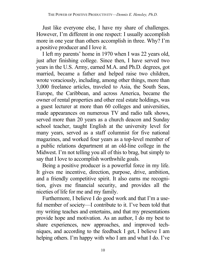Just like everyone else, I have my share of challenges. However, I'm different in one respect: I usually accomplish more in one year than others accomplish in three. Why? I'm a positive producer and I love it.

I left my parents' home in 1970 when I was 22 years old, just after finishing college. Since then, I have served two years in the U.S. Army, earned M.A. and Ph.D. degrees, got married, became a father and helped raise two children, wrote voraciously, including, among other things, more than 3,000 freelance articles, traveled to Asia, the South Seas, Europe, the Caribbean, and across America, became the owner of rental properties and other real estate holdings, was a guest lecturer at more than 60 colleges and universities, made appearances on numerous TV and radio talk shows, served more than 20 years as a church deacon and Sunday school teacher, taught English at the university level for many years, served as a staff columnist for five national magazines, and worked four years as a top-level member of a public relations department at an old-line college in the Midwest. I'm not telling you all of this to brag, but simply to say that I love to accomplish worthwhile goals.

Being a positive producer is a powerful force in my life. It gives me incentive, direction, purpose, drive, ambition, and a friendly competitive spirit. It also earns me recognition, gives me financial security, and provides all the niceties of life for me and my family.

Furthermore, I believe I do good work and that I'm a useful member of society—I contribute to it. I've been told that my writing teaches and entertains, and that my presentations provide hope and motivation. As an author, I do my best to share experiences, new approaches, and improved techniques, and according to the feedback I get, I believe I am helping others. I'm happy with who I am and what I do. I've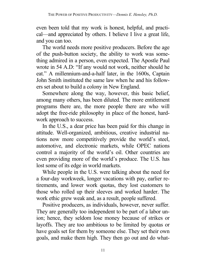even been told that my work is honest, helpful, and practical—and appreciated by others. I believe I live a great life, and you can too.

The world needs more positive producers. Before the age of the push-button society, the ability to work was something admired in a person, even expected. The Apostle Paul wrote in 54 A.D: "If any would not work, neither should he eat." A millennium-and-a-half later, in the 1600s, Captain John Smith instituted the same law when he and his followers set about to build a colony in New England.

Somewhere along the way, however, this basic belief, among many others, has been diluted. The more entitlement programs there are, the more people there are who will adopt the free-ride philosophy in place of the honest, hardwork approach to success.

In the U.S., a dear price has been paid for this change in attitude. Well-organized, ambitious, creative industrial nations now more competitively provide the world's steel, automotive, and electronic markets, while OPEC nations control a majority of the world's oil. Other countries are even providing more of the world's produce. The U.S. has lost some of its edge in world markets.

While people in the U.S. were talking about the need for a four-day workweek, longer vacations with pay, earlier retirements, and lower work quotas, they lost customers to those who rolled up their sleeves and worked harder. The work ethic grew weak and, as a result, people suffered.

Positive producers, as individuals, however, never suffer. They are generally too independent to be part of a labor union; hence, they seldom lose money because of strikes or layoffs. They are too ambitious to be limited by quotas or have goals set for them by someone else. They set their own goals, and make them high. They then go out and do what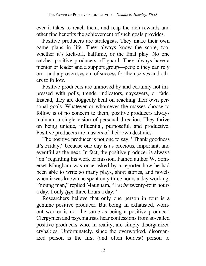ever it takes to reach them, and reap the rich rewards and other fine benefits the achievement of such goals provides.

Positive producers are strategists. They make their own game plans in life. They always know the score, too, whether it's kick-off, halftime, or the final play. No one catches positive producers off-guard. They always have a mentor or leader and a support group—people they can rely on—and a proven system of success for themselves and others to follow.

Positive producers are unmoved by and certainly not impressed with polls, trends, indicators, naysayers, or fads. Instead, they are doggedly bent on reaching their own personal goals. Whatever or whomever the masses choose to follow is of no concern to them; positive producers always maintain a single vision of personal direction. They thrive on being unique, influential, purposeful, and productive. Positive producers are masters of their own destinies.

The positive producer is not one to say, "Thank goodness it's Friday," because one day is as precious, important, and eventful as the next. In fact, the positive producer is always "on" regarding his work or mission. Famed author W. Somerset Maugham was once asked by a reporter how he had been able to write so many plays, short stories, and novels when it was known he spent only three hours a day working. "Young man," replied Maugham, "I *write* twenty-four hours a day; I only *type* three hours a day."

Researchers believe that only one person in four is a genuine positive producer. But being an exhausted, wornout worker is not the same as being a positive producer. Clergymen and psychiatrists hear confessions from so-called positive producers who, in reality, are simply disorganized crybabies. Unfortunately, since the overworked, disorganized person is the first (and often loudest) person to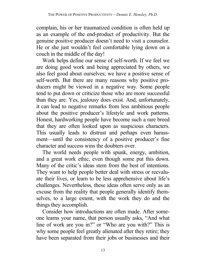complain, his or her traumatized condition is often held up as an example of the end-product of productivity. But the genuine positive producer doesn't need to visit a counselor. He or she just wouldn't feel comfortable lying down on a couch in the middle of the day!

Work helps define our sense of self-worth. If we feel we are doing good work and being appreciated by others, we also feel good about ourselves; we have a positive sense of self-worth. But there are many reasons why positive producers might be viewed in a negative way. Some people tend to put down or criticize those who are more successful than they are. Yes, jealousy does exist. And, unfortunately, it can lead to negative remarks from less ambitious people about the positive producer's lifestyle and work patterns. Honest, hardworking people have become such a rare breed that they are often looked upon as suspicious characters. This usually leads to distrust and perhaps even harassment—until the consistency of a positive producer's fine character and success wins the doubters over.

The world needs people with spunk, energy, ambition, and a great work ethic, even though some put this down. Many of the critic's ideas stem from the best of intentions. They want to help people better deal with stress or reevaluate their lives, or learn to be less apprehensive about life's challenges. Nevertheless, these ideas often serve only as an excuse from the reality that people generally identify themselves, to a large extent, with the work they do and the things they accomplish.

Consider how introductions are often made. After someone learns your name, that person usually asks, "And what line of work are you in?" or "Who are you with?" This is why some people feel greatly alienated after they retire; they have been separated from their jobs or businesses and their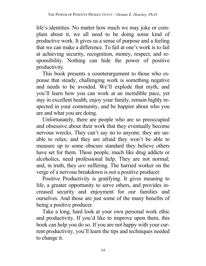life's identities. No matter how much we may joke or complain about it, we all need to be doing some kind of productive work. It gives us a sense of purpose and a feeling that we can make a difference. To fail at one's work is to fail at achieving security, recognition, money, respect, and responsibility. Nothing can hide the power of positive productivity.

This book presents a counterargument to those who espouse that steady, challenging work is something negative and needs to be avoided. We'll explode that myth, and you'll learn how you can work at an incredible pace, yet stay in excellent health, enjoy your family, remain highly respected in your community, and be happier about who you are and what you are doing.

Unfortunately, there are people who are so preoccupied and obsessive about their work that they eventually become nervous wrecks. They can't say no to anyone; they are unable to relax; and they are afraid they won't be able to measure up to some obscure standard they believe others have set for them. These people, much like drug addicts or alcoholics, need professional help. They are not normal; and, in truth, they *are* suffering. The harried worker on the verge of a nervous breakdown is not a positive producer.

Positive Productivity is gratifying. It gives meaning to life, a greater opportunity to serve others, and provides increased security and enjoyment for our families and ourselves. And those are just some of the many benefits of being a positive producer.

Take a long, hard look at your own personal work ethic and productivity. If you'd like to improve upon them, this book can help you do so. If you are not happy with your current productivity, you'll learn the tips and techniques needed to change it.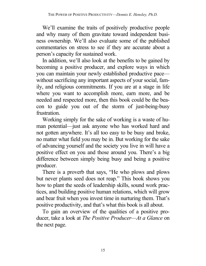We'll examine the traits of positively productive people and why many of them gravitate toward independent business ownership. We'll also evaluate some of the published commentaries on stress to see if they are accurate about a person's capacity for sustained work.

In addition, we'll also look at the benefits to be gained by becoming a positive producer, and explore ways in which you can maintain your newly established productive pace without sacrificing any important aspects of your social, family, and religious commitments. If you are at a stage in life where you want to accomplish more, earn more, and be needed and respected more, then this book could be the beacon to guide you out of the storm of just-being-busy frustration.

Working simply for the sake of working is a waste of human potential—just ask anyone who has worked hard and not gotten anywhere. It's all too easy to be busy and broke, no matter what field you may be in. But working for the sake of advancing yourself and the society you live in will have a positive effect on you and those around you. There's a big difference between simply being busy and being a positive producer.

There is a proverb that says, "He who plows and plows but never plants seed does not reap." This book shows you how to plant the seeds of leadership skills, sound work practices, and building positive human relations, which will grow and bear fruit when you invest time in nurturing them. That's positive productivity, and that's what this book is all about.

To gain an overview of the qualities of a positive producer, take a look at *The Positive Producer—At a Glance* on the next page.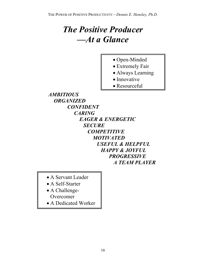## *The Positive Producer —At a Glance*

- Open-Minded
- Extremely Fair
- Always Learning
- Innovative
- Resourceful

*AMBITIOUS ORGANIZED CONFIDENT CARING EAGER & ENERGETIC SECURE COMPETITIVE MOTIVATED USEFUL & HELPFUL HAPPY & JOYFUL PROGRESSIVE A TEAM PLAYER* 

- A Servant Leader
- A Self-Starter
- A Challenge-Overcomer
- A Dedicated Worker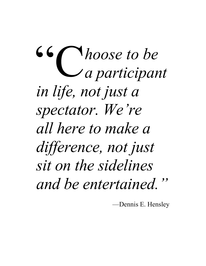*hoose to be*   $66/$ *a participant in life, not just a spectator. We're all here to make a difference, not just sit on the sidelines and be entertained."* 

—Dennis E. Hensley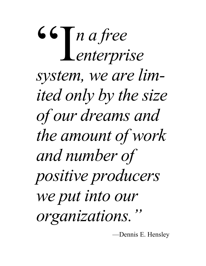*n a free enterprise system, we are limited only by the size of our dreams and the amount of work and number of positive producers we put into our organizations."* 

—Dennis E. Hensley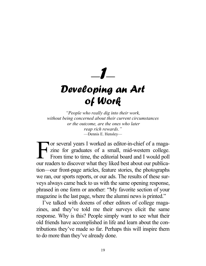# **—***1***—** *Developing an Art of Work*

*"People who really dig into their work, without being concerned about their current circumstances or the outcome, are the ones who later reap rich rewards."*  —Dennis E. Hensley—

or several years I worked as editor-in-chief of a magazine for graduates of a small, mid-western college. From time to time, the editorial board and I would poll our readers to discover what they liked best about our publication—our front-page articles, feature stories, the photographs we ran, our sports reports, or our ads. The results of these surveys always came back to us with the same opening response, phrased in one form or another: "My favorite section of your magazine is the last page, where the alumni news is printed." Form

I've talked with dozens of other editors of college magazines, and they've told me their surveys elicit the same response. Why is this? People simply want to see what their old friends have accomplished in life and learn about the contributions they've made so far. Perhaps this will inspire them to do more than they've already done.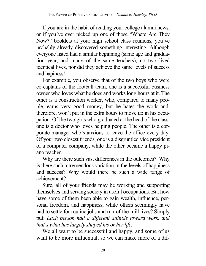If you are in the habit of reading your college alumni news, or if you've ever picked up one of those "Where Are They Now?" booklets at your high school class reunions, you've probably already discovered something interesting. Although everyone listed had a similar beginning (same age and graduation year, and many of the same teachers), no two lived identical lives, nor did they achieve the same levels of success and hapiness!

For example, you observe that of the two boys who were co-captains of the football team, one is a successful business owner who loves what he does and works long hours at it. The other is a construction worker, who, compared to many people, earns very good money, but he hates the work and, therefore, won't put in the extra hours to move up in his occupation. Of the two girls who graduated at the head of the class, one is a doctor who loves helping people. The other is a corporate manager who's anxious to leave the office every day. Of your two closest friends, one is a disgruntled vice president of a computer company, while the other became a happy piano teacher.

Why are there such vast differences in the outcomes? Why is there such a tremendous variation in the levels of happiness and success? Why would there be such a wide range of achievement?

Sure, all of your friends may be working and supporting themselves and serving society in useful occupations. But how have some of them been able to gain wealth, influence, personal freedom, and happiness, while others seemingly have had to settle for routine jobs and run-of-the-mill lives? Simply put: *Each person had a different attitude toward work, and that's what has largely shaped his or her life.*

We all want to be successful and happy, and some of us want to be more influential, so we can make more of a dif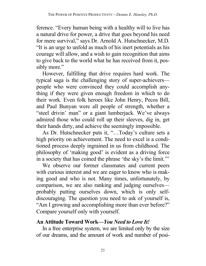ference. "Every human being with a healthy will to live has a natural drive for power, a drive that goes beyond his need for mere survival," says Dr. Arnold A. Hutschnecker, M.D. "It is an urge to unfold as much of his inert potentials as his courage will allow, and a wish to gain recognition that aims to give back to the world what he has received from it, possibly more."

However, fulfilling that drive requires hard work. The typical saga is the challenging story of super-achievers people who were convinced they could accomplish anything if they were given enough freedom in which to do their work. Even folk heroes like John Henry, Pecos Bill, and Paul Bunyan were all people of strength, whether a "steel drivin' man" or a giant lumberjack. We've always admired those who could roll up their sleeves, dig in, get their hands dirty, and achieve the seemingly impossible.

As Dr. Hutschnecker puts it, "…Today's culture sets a high priority on achievement. The need to excel is a conditioned process deeply ingrained in us from childhood. The philosophy of 'making good' is evident as a driving force in a society that has coined the phrase 'the sky's the limit.'"

We observe our former classmates and current peers with curious interest and we are eager to know who is making good and who is not. Many times, unfortunately, by comparison, we are also ranking and judging ourselves probably putting ourselves down, which is only selfdiscouraging. The question you need to ask of yourself is, "Am I growing and accomplishing more than ever before?" Compare yourself only with yourself.

### **An Attitude Toward Work—***You Need to Love It!*

In a free enterprise system, we are limited only by the size of our dreams, and the amount of work and number of posi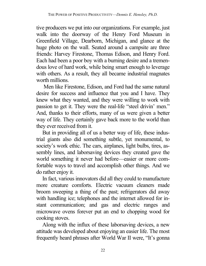tive producers we put into our organizations. For example, just walk into the doorway of the Henry Ford Museum in Greenfield Village, Dearborn, Michigan, and glance at the huge photo on the wall. Seated around a campsite are three friends: Harvey Firestone, Thomas Edison, and Henry Ford. Each had been a poor boy with a burning desire and a tremendous love of hard work, while being smart enough to leverage with others. As a result, they all became industrial magnates worth millions.

 Men like Firestone, Edison, and Ford had the same natural desire for success and influence that you and I have. They knew what they wanted, and they were willing to work with passion to get it. They were the real-life "steel drivin' men." And, thanks to their efforts, many of us were given a better way of life. They certainly gave back more to the world than they ever received from it.

But in providing all of us a better way of life, these industrial giants also did something subtle, yet monumental, to society's work ethic. The cars, airplanes, light bulbs, tires, assembly lines, and laborsaving devices they created gave the world something it never had before—easier or more comfortable ways to travel and accomplish other things. And we do rather enjoy it.

In fact, various innovators did all they could to manufacture more creature comforts. Electric vacuum cleaners made broom sweeping a thing of the past; refrigerators did away with handling ice; telephones and the internet allowed for instant communication; and gas and electric ranges and microwave ovens forever put an end to chopping wood for cooking stoves.

Along with the influx of these laborsaving devices, a new attitude was developed about enjoying an easier life. The most frequently heard phrases after World War II were, "It's gonna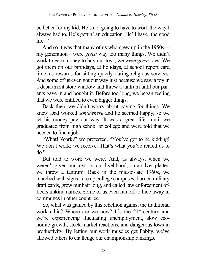be better for my kid. He's not going to have to work the way I always had to. He's gettin' an education. He'll have 'the good life."

And so it was that many of us who grew up in the 1950s my generation—were *given* way too many things. We didn't work to earn money to buy our toys; we were *given* toys. We got them on our birthdays, at holidays, at school report card time, as rewards for sitting quietly during religious services. And some of us even got our way just because we saw a toy in a department store window and threw a tantrum until our parents gave in and bought it. Before too long, we began feeling that we were entitled to even bigger things.

Back then, we didn't worry about paying for things. We knew Dad worked *somewhere* and he seemed happy; so we let his money pay our way. It was a great life…until we graduated from high school or college and were told that we needed to find a job.

"What! Work?" we protested. "You've got to be kidding! We don't work; we receive. That's what you've reared us to  $do$ "

But told to work we were. And, as always, when we weren't given our toys, or our livelihood, on a silver platter, we threw a tantrum. Back in the mid-to-late 1960s, we marched with signs, tore up college campuses, burned military draft cards, grew our hair long, and called law enforcement officers unkind names. Some of us even ran off to hide away in communes in other countries.

So, what was gained by this rebellion against the traditional work ethic? Where are we now? It's the  $21<sup>st</sup>$  century and we're experiencing fluctuating unemployment, slow economic growth, stock market reactions, and dangerous lows in productivity. By letting our work muscles get flabby, we've allowed others to challenge our championship rankings.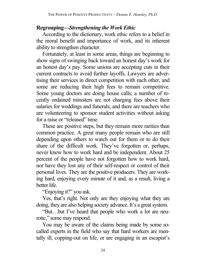### **Regrouping—***Strengthening the Work Ethic*

According to the dictionary, work ethic refers to a belief in the moral benefit and importance of work, and its inherent ability to strengthen character.

Fortunately, at least in some areas, things are beginning to show signs of swinging back toward an honest day's work for an honest day's pay. Some unions are accepting cuts in their current contracts to avoid further layoffs. Lawyers are advertising their services in direct competition with each other, and some are reducing their high fees to remain competitive. Some young doctors are doing house calls; a number of recently ordained ministers are not charging fees above their salaries for weddings and funerals; and there are teachers who are volunteering to sponsor student activities without asking for a raise or "released" time.

These are positive steps, but they remain more rarities than common practice. A great many people remain who are still depending upon others to watch out for them or to do their share of the difficult work. They've forgotten or, perhaps, never knew how to work hard and be independent. About 25 percent of the people have not forgotten how to work hard, nor have they lost any of their self-respect or control of their personal lives. They are the positive producers. They are working hard, enjoying every minute of it and, as a result, living a better life.

"Enjoying it?" you ask.

Yes, that's right. Not only are they enjoying what they are doing, they are also helping society advance. It's a great system.

"But…but I've heard that people who work a lot are neurotic," some may respond.

You may be aware of the claims being made by some socalled experts in the field who say that hard workers are mentally ill, copping-out on life, or are engaging in an escapist's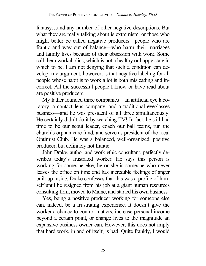fantasy…and any number of other negative descriptions. But what they are really talking about is extremism, or those who might better be called negative producers—people who are frantic and way out of balance—who harm their marriages and family lives because of their obsession with work. Some call them workaholics, which is not a healthy or happy state in which to be. I am not denying that such a condition can develop; my argument, however, is that negative labeling for all people whose habit is to work a lot is both misleading and incorrect. All the successful people I know or have read about are positive producers.

My father founded three companies—an artificial eye laboratory, a contact lens company, and a traditional eyeglasses business—and he was president of all three simultaneously. He certainly didn't do it by watching TV! In fact, he still had time to be our scout leader, coach our ball teams, run the church's orphan care fund, and serve as president of the local Optimist Club. He was a balanced, well-organized, positive producer, but definitely not frantic.

John Drake, author and work ethic consultant, perfectly describes today's frustrated worker. He says this person is working for someone else; he or she is someone who never leaves the office on time and has incredible feelings of anger built up inside. Drake confesses that this was a profile of himself until he resigned from his job at a giant human resources consulting firm, moved to Maine, and started his own business.

Yes, being a positive producer working for someone else can, indeed, be a frustrating experience. It doesn't give the worker a chance to control matters, increase personal income beyond a certain point, or change lives to the magnitude an expansive business owner can. However, this does not imply that hard work, in and of itself, is bad. Quite frankly, I would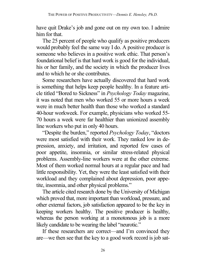have quit Drake's job and gone out on my own too. I admire him for that.

The 25 percent of people who qualify as positive producers would probably feel the same way I do. A positive producer is someone who believes in a positive work ethic. That person's foundational belief is that hard work is good for the individual, his or her family, and the society in which the producer lives and to which he or she contributes.

Some researchers have actually discovered that hard work is something that helps keep people healthy. In a feature article titled "Bored to Sickness" in *Psychology Today* magazine, it was noted that men who worked 55 or more hours a week were in much better health than those who worked a standard 40-hour workweek. For example, physicians who worked 55- 70 hours a week were far healthier than unionized assembly line workers who put in only 40 hours.

"Despite the burden," reported *Psychology Today*, "doctors were most satisfied with their work. They ranked low in depression, anxiety, and irritation, and reported few cases of poor appetite, insomnia, or similar stress-related physical problems. Assembly-line workers were at the other extreme. Most of them worked normal hours at a regular pace and had little responsibility. Yet, they were the least satisfied with their workload and they complained about depression, poor appetite, insomnia, and other physical problems."

The article cited research done by the University of Michigan which proved that, more important than workload, pressure, and other external factors, job satisfaction appeared to be the key in keeping workers healthy. The positive producer is healthy, whereas the person working at a monotonous job is a more likely candidate to be wearing the label "neurotic."

If these researchers are correct—and I'm convinced they are—we then see that the key to a good work record is job sat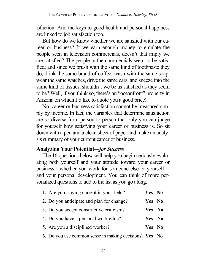isfaction. And the keys to good health and personal happiness are linked to job satisfaction too.

But how do we know whether we are satisfied with our career or business? If we earn enough money to emulate the people seen in television commercials, doesn't that imply we are satisfied? The people in the commercials seem to be satisfied; and since we brush with the same kind of toothpaste they do, drink the same brand of coffee, wash with the same soap, wear the same watches, drive the same cars, and sneeze into the same kind of tissues, shouldn't we be as satisfied as they seem to be? Well, if you think so, there's an "oceanfront" property in Arizona on which I'd like to quote you a good price!

No, career or business satisfaction cannot be measured simply by income. In fact, the variables that determine satisfaction are so diverse from person to person that only you can judge for yourself how satisfying your career or business is. So sit down with a pen and a clean sheet of paper and make an analysis summary of your current career or business.

#### **Analyzing Your Potential—***for Success*

The 16 questions below will help you begin seriously evaluating both yourself and your attitude toward your career or business—whether you work for someone else or yourself and your personal development. You can think of more personalized questions to add to the list as you go along.

| 1. Are you staying current in your field? | Yes No |  |
|-------------------------------------------|--------|--|
| 2. Do you anticipate and plan for change? | Yes No |  |
| 3. Do you accept constructive criticism?  | Yes No |  |
| 4. Do you have a personal work ethic?     | Yes No |  |
| 5. Are you a disciplined worker?          | Yes No |  |
|                                           |        |  |

6. Do you use common sense in making decisions? **Yes No**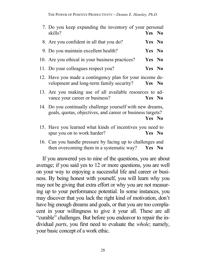THE POWER OF POSITIVE PRODUCTIVITY—*Dennis E. Hensley, Ph.D.* 

| 7. Do you keep expanding the inventory of your personal                                                                  |        |  |
|--------------------------------------------------------------------------------------------------------------------------|--------|--|
| skills?                                                                                                                  | Yes No |  |
| 8. Are you confident in all that you do?                                                                                 | Yes No |  |
| 9. Do you maintain excellent health?                                                                                     | Yes No |  |
| 10. Are you ethical in your business practices?                                                                          | Yes No |  |
| 11. Do your colleagues respect you?                                                                                      | Yes No |  |
| 12. Have you made a contingency plan for your income de-<br>velopment and long-term family security?                     | Yes No |  |
| 13. Are you making use of all available resources to ad-<br>vance your career or business?                               | Yes No |  |
| 14. Do you continually challenge yourself with new dreams,<br>goals, quotas, objectives, and career or business targets? | Yes No |  |
| 15. Have you learned what kinds of incentives you need to<br>spur you on to work harder?                                 | Yes No |  |

16. Can you handle pressure by facing up to challenges and then overcoming them in a systematic way? **Yes No**

If you answered yes to nine of the questions, you are about average; if you said yes to 12 or more questions, you are well on your way to enjoying a successful life and career or business. By being honest with yourself, you will learn why you may not be giving that extra effort or why you are not measuring up to your performance potential. In some instances, you may discover that you lack the right kind of motivation, don't have big enough dreams and goals, or that you are too complacent in your willingness to give it your all. These are all "curable" challenges. But before you endeavor to repair the individual *parts*, you first need to evaluate the *whole*; namely, your basic concept of a work ethic.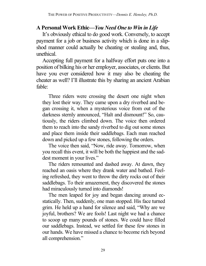### **A Personal Work Ethic—***You Need One to Win in Life*

It's obviously ethical to do good work. Conversely, to accept payment for a job or business activity which is done in a slipshod manner could actually be cheating or stealing and, thus, unethical.

Accepting full payment for a halfway effort puts one into a position of bilking his or her employer, associates, or clients. But have you ever considered how it may also be cheating the cheater as well? I'll illustrate this by sharing an ancient Arabian fable:

Three riders were crossing the desert one night when they lost their way. They came upon a dry riverbed and began crossing it, when a mysterious voice from out of the darkness sternly announced, "Halt and dismount!" So, cautiously, the riders climbed down. The voice then ordered them to reach into the sandy riverbed to dig out some stones and place them inside their saddlebags. Each man reached down and picked up a few stones, following the orders.

The voice then said, "Now, ride away. Tomorrow, when you recall this event, it will be both the happiest and the saddest moment in your lives."

The riders remounted and dashed away. At dawn, they reached an oasis where they drank water and bathed. Feeling refreshed, they went to throw the dirty rocks out of their saddlebags. To their amazement, they discovered the stones had miraculously turned into diamonds!

The men leaped for joy and began dancing around ecstatically. Then, suddenly, one man stopped. His face turned grim. He held up a hand for silence and said, "Why are we joyful, brothers? We are fools! Last night we had a chance to scoop up many pounds of stones. We could have filled our saddlebags. Instead, we settled for these few stones in our hands. We have missed a chance to become rich beyond all comprehension."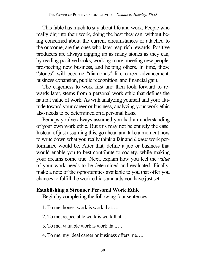This fable has much to say about life and work. People who really dig into their work, doing the best they can, without being concerned about the current circumstances or attached to the outcome, are the ones who later reap rich rewards. Positive producers are always digging up as many stones as they can, by reading positive books, working more, meeting new people, prospecting new business, and helping others. In time, those "stones" will become "diamonds" like career advancement, business expansion, public recognition, and financial gain.

The eagerness to work first and then look forward to rewards later, stems from a personal work ethic that defines the natural value of work. As with analyzing yourself and your attitude toward your career or business, analyzing your work ethic also needs to be determined on a personal basis.

Perhaps you've always assumed you had an understanding of your own work ethic. But this may not be entirely the case. Instead of just assuming this, go ahead and take a moment now to write down what you really think a fair and *honest* work performance would be. After that, define a job or business that would enable you to best contribute to society, while making your dreams come true. Next, explain how you feel the *value* of your work needs to be determined and evaluated. Finally, make a note of the opportunities available to you that offer you chances to fulfill the work ethic standards you have just set.

#### **Establishing a Stronger Personal Work Ethic**

Begin by completing the following four sentences.

- 1. To me, honest work is work that….
- 2. To me, respectable work is work that….
- 3. To me, valuable work is work that….
- 4. To me, my ideal career or business offers me….